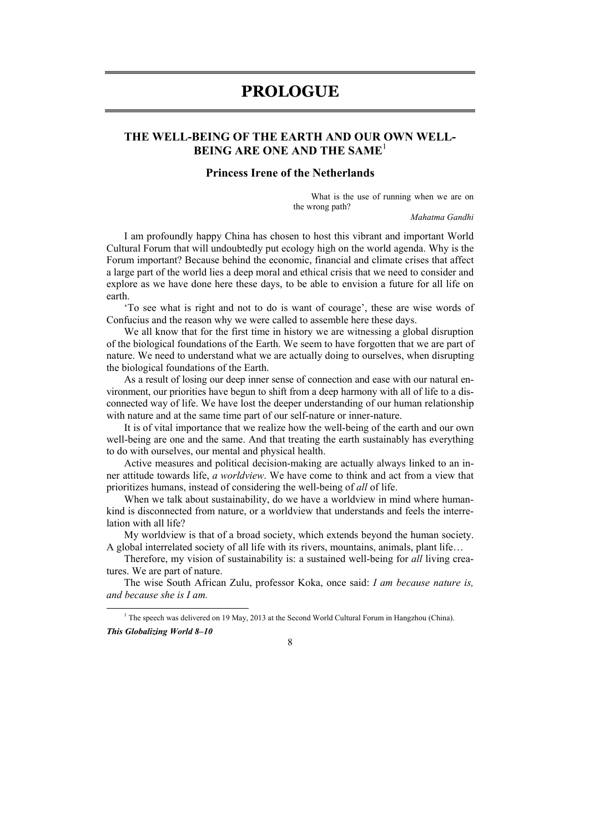## **PROLOGUE**

## **THE WELL-BEING OF THE EARTH AND OUR OWN WELL-BEING ARE ONE AND THE SAME**<sup>1</sup>

## **Princess Irene of the Netherlands**

What is the use of running when we are on the wrong path?

*Mahatma Gandhi* 

I am profoundly happy China has chosen to host this vibrant and important World Cultural Forum that will undoubtedly put ecology high on the world agenda. Why is the Forum important? Because behind the economic, financial and climate crises that affect a large part of the world lies a deep moral and ethical crisis that we need to consider and explore as we have done here these days, to be able to envision a future for all life on earth.

'To see what is right and not to do is want of courage', these are wise words of Confucius and the reason why we were called to assemble here these days.

We all know that for the first time in history we are witnessing a global disruption of the biological foundations of the Earth. We seem to have forgotten that we are part of nature. We need to understand what we are actually doing to ourselves, when disrupting the biological foundations of the Earth.

As a result of losing our deep inner sense of connection and ease with our natural environment, our priorities have begun to shift from a deep harmony with all of life to a disconnected way of life. We have lost the deeper understanding of our human relationship with nature and at the same time part of our self-nature or inner-nature.

It is of vital importance that we realize how the well-being of the earth and our own well-being are one and the same. And that treating the earth sustainably has everything to do with ourselves, our mental and physical health.

Active measures and political decision-making are actually always linked to an inner attitude towards life, *a worldview*. We have come to think and act from a view that prioritizes humans, instead of considering the well-being of *all* of life.

When we talk about sustainability, do we have a worldview in mind where humankind is disconnected from nature, or a worldview that understands and feels the interrelation with all life?

My worldview is that of a broad society, which extends beyond the human society. A global interrelated society of all life with its rivers, mountains, animals, plant life…

Therefore, my vision of sustainability is: a sustained well-being for *all* living creatures. We are part of nature.

The wise South African Zulu, professor Koka, once said: *I am because nature is, and because she is I am.* 

8

 $\frac{1}{1}$ <sup>1</sup> The speech was delivered on 19 May, 2013 at the Second World Cultural Forum in Hangzhou (China).

*This Globalizing World 8–10*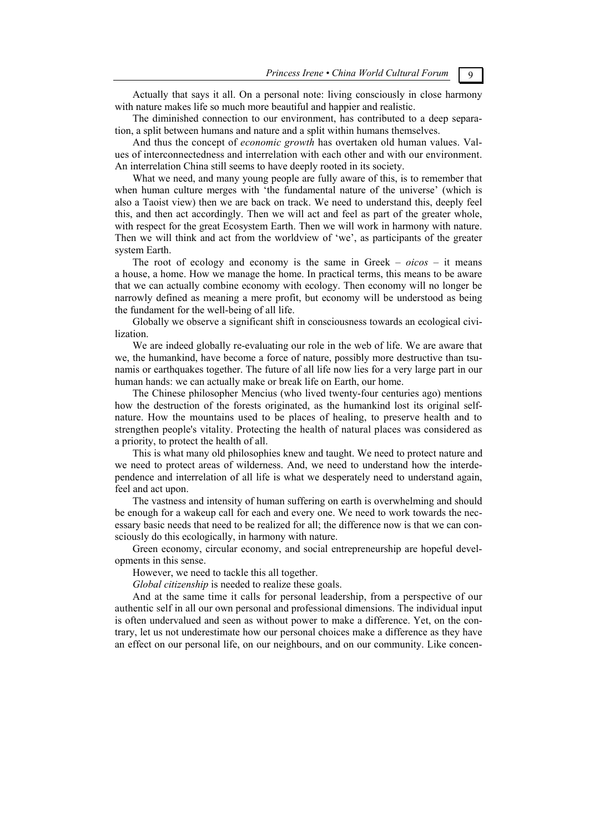Actually that says it all. On a personal note: living consciously in close harmony with nature makes life so much more beautiful and happier and realistic.

The diminished connection to our environment, has contributed to a deep separation, a split between humans and nature and a split within humans themselves.

And thus the concept of *economic growth* has overtaken old human values. Values of interconnectedness and interrelation with each other and with our environment. An interrelation China still seems to have deeply rooted in its society.

What we need, and many young people are fully aware of this, is to remember that when human culture merges with 'the fundamental nature of the universe' (which is also a Taoist view) then we are back on track. We need to understand this, deeply feel this, and then act accordingly. Then we will act and feel as part of the greater whole, with respect for the great Ecosystem Earth. Then we will work in harmony with nature. Then we will think and act from the worldview of 'we', as participants of the greater system Earth.

The root of ecology and economy is the same in Greek – *oicos* – it means a house, a home. How we manage the home. In practical terms, this means to be aware that we can actually combine economy with ecology. Then economy will no longer be narrowly defined as meaning a mere profit, but economy will be understood as being the fundament for the well-being of all life.

Globally we observe a significant shift in consciousness towards an ecological civilization.

We are indeed globally re-evaluating our role in the web of life. We are aware that we, the humankind, have become a force of nature, possibly more destructive than tsunamis or earthquakes together. The future of all life now lies for a very large part in our human hands: we can actually make or break life on Earth, our home.

The Chinese philosopher Mencius (who lived twenty-four centuries ago) mentions how the destruction of the forests originated, as the humankind lost its original selfnature. How the mountains used to be places of healing, to preserve health and to strengthen people's vitality. Protecting the health of natural places was considered as a priority, to protect the health of all.

This is what many old philosophies knew and taught. We need to protect nature and we need to protect areas of wilderness. And, we need to understand how the interdependence and interrelation of all life is what we desperately need to understand again, feel and act upon.

The vastness and intensity of human suffering on earth is overwhelming and should be enough for a wakeup call for each and every one. We need to work towards the necessary basic needs that need to be realized for all; the difference now is that we can consciously do this ecologically, in harmony with nature.

Green economy, circular economy, and social entrepreneurship are hopeful developments in this sense.

However, we need to tackle this all together.

*Global citizenship* is needed to realize these goals.

And at the same time it calls for personal leadership, from a perspective of our authentic self in all our own personal and professional dimensions. The individual input is often undervalued and seen as without power to make a difference. Yet, on the contrary, let us not underestimate how our personal choices make a difference as they have an effect on our personal life, on our neighbours, and on our community. Like concen-